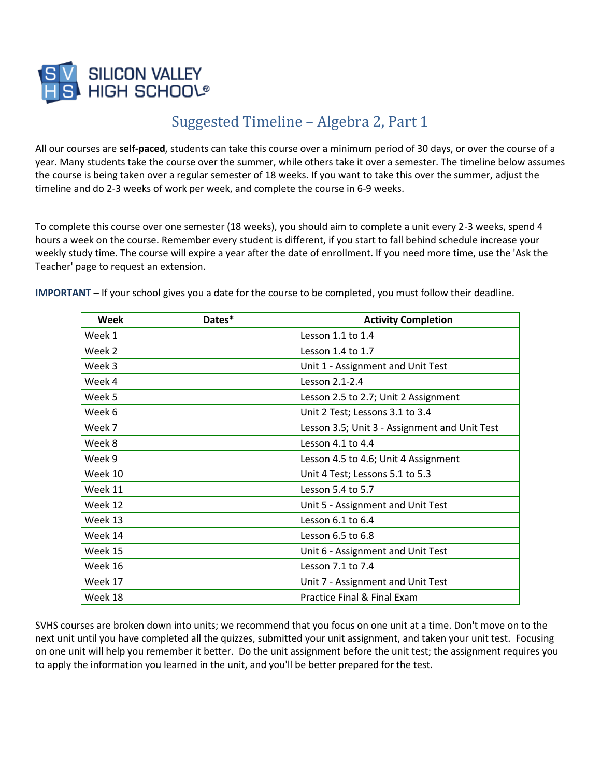

## Suggested Timeline – Algebra 2, Part 1

All our courses are **self-paced**, students can take this course over a minimum period of 30 days, or over the course of a year. Many students take the course over the summer, while others take it over a semester. The timeline below assumes the course is being taken over a regular semester of 18 weeks. If you want to take this over the summer, adjust the timeline and do 2-3 weeks of work per week, and complete the course in 6-9 weeks.

To complete this course over one semester (18 weeks), you should aim to complete a unit every 2-3 weeks, spend 4 hours a week on the course. Remember every student is different, if you start to fall behind schedule increase your weekly study time. The course will expire a year after the date of enrollment. If you need more time, use the 'Ask the Teacher' page to request an extension.

**IMPORTANT** – If your school gives you a date for the course to be completed, you must follow their deadline.

| Week    | Dates* | <b>Activity Completion</b>                    |
|---------|--------|-----------------------------------------------|
| Week 1  |        | Lesson 1.1 to 1.4                             |
| Week 2  |        | Lesson 1.4 to 1.7                             |
| Week 3  |        | Unit 1 - Assignment and Unit Test             |
| Week 4  |        | Lesson 2.1-2.4                                |
| Week 5  |        | Lesson 2.5 to 2.7; Unit 2 Assignment          |
| Week 6  |        | Unit 2 Test; Lessons 3.1 to 3.4               |
| Week 7  |        | Lesson 3.5; Unit 3 - Assignment and Unit Test |
| Week 8  |        | Lesson 4.1 to 4.4                             |
| Week 9  |        | Lesson 4.5 to 4.6; Unit 4 Assignment          |
| Week 10 |        | Unit 4 Test; Lessons 5.1 to 5.3               |
| Week 11 |        | Lesson 5.4 to 5.7                             |
| Week 12 |        | Unit 5 - Assignment and Unit Test             |
| Week 13 |        | Lesson 6.1 to 6.4                             |
| Week 14 |        | Lesson 6.5 to 6.8                             |
| Week 15 |        | Unit 6 - Assignment and Unit Test             |
| Week 16 |        | Lesson 7.1 to 7.4                             |
| Week 17 |        | Unit 7 - Assignment and Unit Test             |
| Week 18 |        | Practice Final & Final Exam                   |

SVHS courses are broken down into units; we recommend that you focus on one unit at a time. Don't move on to the next unit until you have completed all the quizzes, submitted your unit assignment, and taken your unit test. Focusing on one unit will help you remember it better. Do the unit assignment before the unit test; the assignment requires you to apply the information you learned in the unit, and you'll be better prepared for the test.